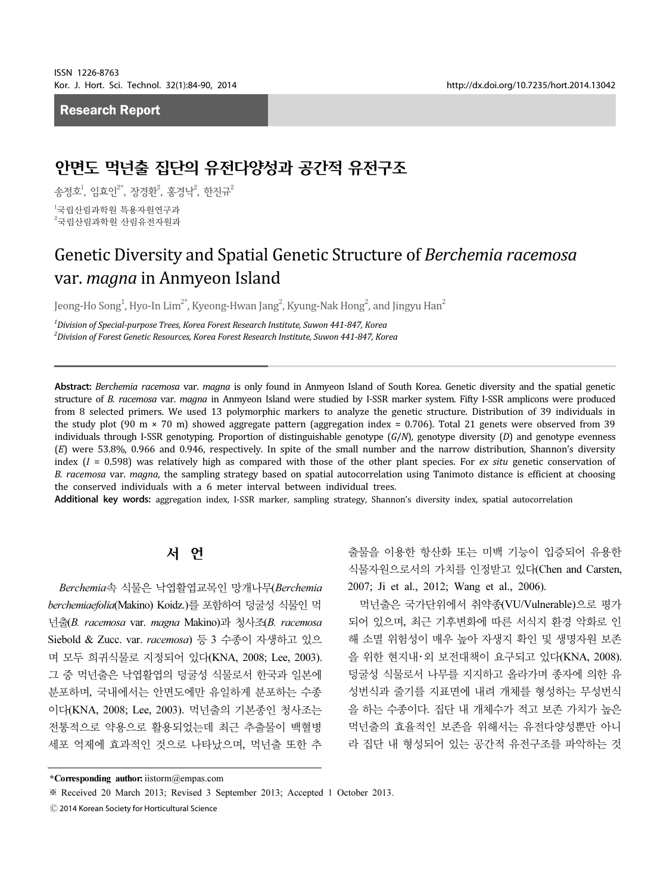## Research Report

# 안면도 먹넌출 집단의 유전다양성과 공간적 유전구조

송정호<sup>!</sup>, 임효인<sup>2\*</sup>, 장경환<sup>2</sup>, 홍경낙<sup>2</sup>, 한진규<sup>2</sup>

<sub>1</sub><br>국립산림과학원 특용자원연구과 <sup>2</sup>국립산림과학원 산림유전자원과

# Genetic Diversity and Spatial Genetic Structure of Berchemia racemosa var. magna in Anmyeon Island

Jeong-Ho Song $^1$ , Hyo-In Lim $^{2^\ast}$ , Kyeong-Hwan Jang $^2$ , Kyung-Nak Hong $^2$ , and Jingyu Han $^2$ 

 $^{\rm 1}$ Division of Special-purpose Trees, Korea Forest Research Institute, Suwon 441-847, Korea 2 Division of Forest Genetic Resources, Korea Forest Research Institute, Suwon 441-847, Korea

Abstract: Berchemia racemosa var. magna is only found in Anmyeon Island of South Korea. Genetic diversity and the spatial genetic structure of B. racemosa var. magna in Anmyeon Island were studied by I-SSR marker system. Fifty I-SSR amplicons were produced from 8 selected primers. We used 13 polymorphic markers to analyze the genetic structure. Distribution of 39 individuals in the study plot (90 m  $\times$  70 m) showed aggregate pattern (aggregation index = 0.706). Total 21 genets were observed from 39 individuals through I-SSR genotyping. Proportion of distinguishable genotype  $(G/N)$ , genotype diversity  $(D)$  and genotype evenness (E) were 53.8%, 0.966 and 0.946, respectively. In spite of the small number and the narrow distribution, Shannon's diversity index  $(I = 0.598)$  was relatively high as compared with those of the other plant species. For *ex situ* genetic conservation of B. racemosa var. magna, the sampling strategy based on spatial autocorrelation using Tanimoto distance is efficient at choosing the conserved individuals with a 6 meter interval between individual trees.

Additional key words: aggregation index, I-SSR marker, sampling strategy, Shannon's diversity index, spatial autocorrelation

# 서 언

Berchemia속 식물은 낙엽활엽교목인 망개나무(Berchemia berchemiaefolia(Makino) Koidz.)를 포함하여 덩굴성 식물인 먹 넌출(B. racemosa var. magna Makino)과 청사조(B. racemosa Siebold & Zucc. var. racemosa) 등 3 수종이 자생하고 있으 며 모두 희귀식물로 지정되어 있다(KNA, 2008; Lee, 2003). 그 중 먹넌출은 낙엽활엽의 덩굴성 식물로서 한국과 일본에 분포하며, 국내에서는 안면도에만 유일하게 분포하는 수종 이다(KNA, 2008; Lee, 2003). 먹넌출의 기본종인 청사조는 전통적으로 약용으로 활용되었는데 최근 추출물이 백혈병 세포 억제에 효과적인 것으로 나타났으며, 먹넌출 또한 추

출물을 이용한 항산화 또는 미백 기능이 입증되어 유용한 식물자원으로서의 가치를 인정받고 있다(Chen and Carsten, 2007; Ji et al., 2012; Wang et al., 2006).

먹넌출은 국가단위에서 취약종(VU/Vulnerable)으로 평가 되어 있으며, 최근 기후변화에 따른 서식지 환경 악화로 인 해 소멸 위험성이 매우 높아 자생지 확인 및 생명자원 보존 을 위한 현지내・외 보전대책이 요구되고 있다(KNA, 2008). 덩굴성 식물로서 나무를 지지하고 올라가며 종자에 의한 유 성번식과 줄기를 지표면에 내려 개체를 형성하는 무성번식 을 하는 수종이다. 집단 내 개체수가 적고 보존 가치가 높은 먹넌출의 효율적인 보존을 위해서는 유전다양성뿐만 아니 라 집단 내 형성되어 있는 공간적 유전구조를 파악하는 것

<sup>\*</sup>Corresponding author:iistorm@empas.com

<sup>※</sup> Received 20 March 2013; Revised 3 September 2013; Accepted 1 October 2013.

<sup>Ⓒ</sup> 2014 Korean Society for Horticultural Science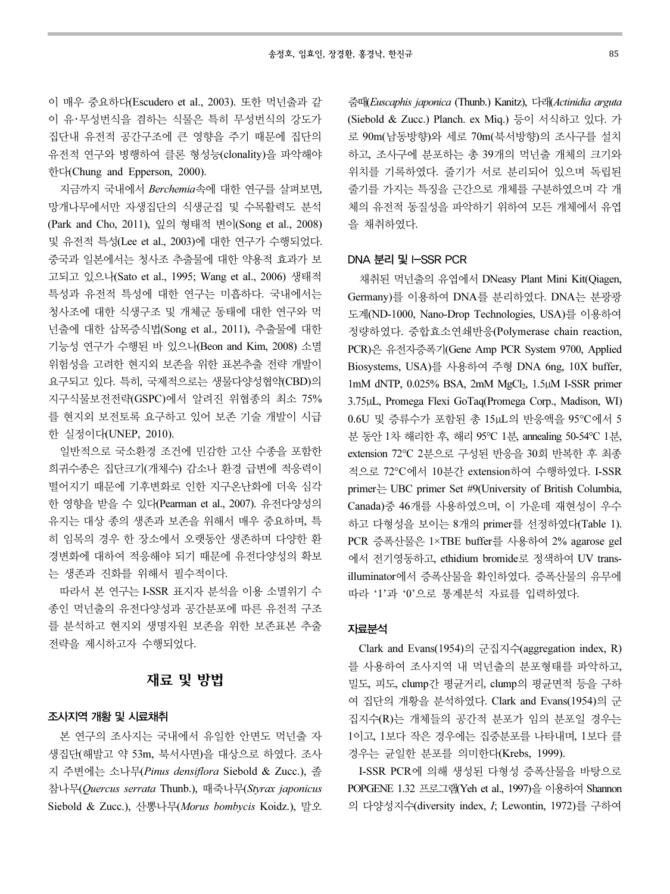이 매우 중요하다(Escudero et al., 2003). 또한 먹넌출과 같 이 유・무성번식을 겸하는 식물은 특히 무성번식의 강도가 집단내 유전적 공간구조에 큰 영향을 주기 때문에 집단의 유전적 연구와 병행하여 클론 형성능(clonality)을 파악해야 한다(Chung and Epperson, 2000).

지금까지 국내에서 Berchemia속에 대한 연구를 살펴보면, 망개나무에서만 자생집단의 식생군집 및 수목활력도 분석 (Park and Cho, 2011), 잎의 형태적 변이(Song et al., 2008) 및 유전적 특성(Lee et al., 2003)에 대한 연구가 수행되었다. 중국과 일본에서는 청사조 추출물에 대한 약용적 효과가 보 고되고 있으나(Sato et al., 1995; Wang et al., 2006) 생태적 특성과 유전적 특성에 대한 연구는 미흡하다. 국내에서는 청사조에 대한 식생구조 및 개체군 동태에 대한 연구와 먹 넌출에 대한 삽목증식법(Song et al., 2011), 추출물에 대한 기능성 연구가 수행된 바 있으나(Beon and Kim, 2008) 소멸 위험성을 고려한 현지외 보존을 위한 표본추출 전략 개발이 요구되고 있다. 특히, 국제적으로는 생물다양성협약(CBD)의 지구식물보전전략(GSPC)에서 알려진 위협종의 최소 75% 를 현지외 보전토록 요구하고 있어 보존 기술 개발이 시급 한 실정이다(UNEP, 2010).

일반적으로 국소환경 조건에 민감한 고산 수종을 포함한 희귀수종은 집단크기(개체수) 감소나 환경 급변에 적응력이 떨어지기 때문에 기후변화로 인한 지구온난화에 더욱 심각 한 영향을 받을 수 있다(Pearman et al., 2007). 유전다양성의 유지는 대상 종의 생존과 보존을 위해서 매우 중요하며, 특 히 임목의 경우 한 장소에서 오랫동안 생존하며 다양한 환 경변화에 대하여 적응해야 되기 때문에 유전다양성의 확보 는 생존과 진화를 위해서 필수적이다.

따라서 본 연구는 I-SSR 표지자 분석을 이용 소멸위기 수 종인 먹넌출의 유전다양성과 공간분포에 따른 유전적 구조 를 분석하고 현지외 생명자원 보존을 위한 보존표본 추출 전략을 제시하고자 수행되었다.

# 재료 및 방법

### 조사지역 개황 및 시료채취

본 연구의 조사지는 국내에서 유일한 안면도 먹넌출 자 생집단(해발고 약 53m, 북서사면)을 대상으로 하였다. 조사 지 주변에는 소나무(Pinus densiflora Siebold & Zucc.), 졸 참나무(Quercus serrata Thunb.), 때죽나무(Styrax japonicus Siebold & Zucc.), 산뽕나무(Morus bombycis Koidz.), 말오

줌때(Euscaphis japonica (Thunb.) Kanitz), 다래(Actinidia arguta (Siebold & Zucc.) Planch. ex Miq.) 등이 서식하고 있다. 가 로 90m(남동방향)와 세로 70m(북서방향)의 조사구를 설치 하고, 조사구에 분포하는 총 39개의 먹넌출 개체의 크기와 위치를 기록하였다. 줄기가 서로 분리되어 있으며 독립된 줄기를 가지는 특징을 근간으로 개체를 구분하였으며 각 개 체의 유전적 동질성을 파악하기 위하여 모든 개체에서 유엽 을 채취하였다.

### DNA 분리 및 I-SSR PCR

채취된 먹넌출의 유엽에서 DNeasy Plant Mini Kit(Qiagen, Germany)를 이용하여 DNA를 분리하였다. DNA는 분광광 도계(ND-1000, Nano-Drop Technologies, USA)를 이용하여 정량하였다. 중합효소연쇄반응(Polymerase chain reaction, PCR)은 유전자증폭기(Gene Amp PCR System 9700, Applied Biosystems, USA)를 사용하여 주형 DNA 6ng, 10X buffer, 1mM dNTP, 0.025% BSA, 2mM MgCl<sub>2</sub>, 1.5μM I-SSR primer 3.75μL, Promega Flexi GoTaq(Promega Corp., Madison, WI) 0.6U 및 증류수가 포함된 총 15μL의 반응액을 95°C에서 5 분 동안 1차 해리한 후, 해리 95°C 1분, annealing 50-54°C 1분, extension 72°C 2분으로 구성된 반응을 30회 반복한 후 최종 적으로 72°C에서 10분간 extension하여 수행하였다. I-SSR primer는 UBC primer Set #9(University of British Columbia, Canada)중 46개를 사용하였으며, 이 가운데 재현성이 우수 하고 다형성을 보이는 8개의 primer를 선정하였다(Table 1). PCR 증폭산물은 1×TBE buffer를 사용하여 2% agarose gel 에서 전기영동하고, ethidium bromide로 정색하여 UV transilluminator에서 증폭산물을 확인하였다. 증폭산물의 유무에 따라 '1'과 '0'으로 통계분석 자료를 입력하였다.

#### 자료분석

Clark and Evans(1954)의 군집지수(aggregation index, R) 를 사용하여 조사지역 내 먹넌출의 분포형태를 파악하고, 밀도, 피도, clump간 평균거리, clump의 평균면적 등을 구하 여 집단의 개황을 분석하였다. Clark and Evans(1954)의 군 집지수(R)는 개체들의 공간적 분포가 임의 분포일 경우는 1이고, 1보다 작은 경우에는 집중분포를 나타내며, 1보다 클 경우는 균일한 분포를 의미한다(Krebs, 1999).

I-SSR PCR에 의해 생성된 다형성 증폭산물을 바탕으로 POPGENE 1.32 프로그램(Yeh et al., 1997)을 이용하여 Shannon 의 다양성지수(diversity index, I; Lewontin, 1972)를 구하여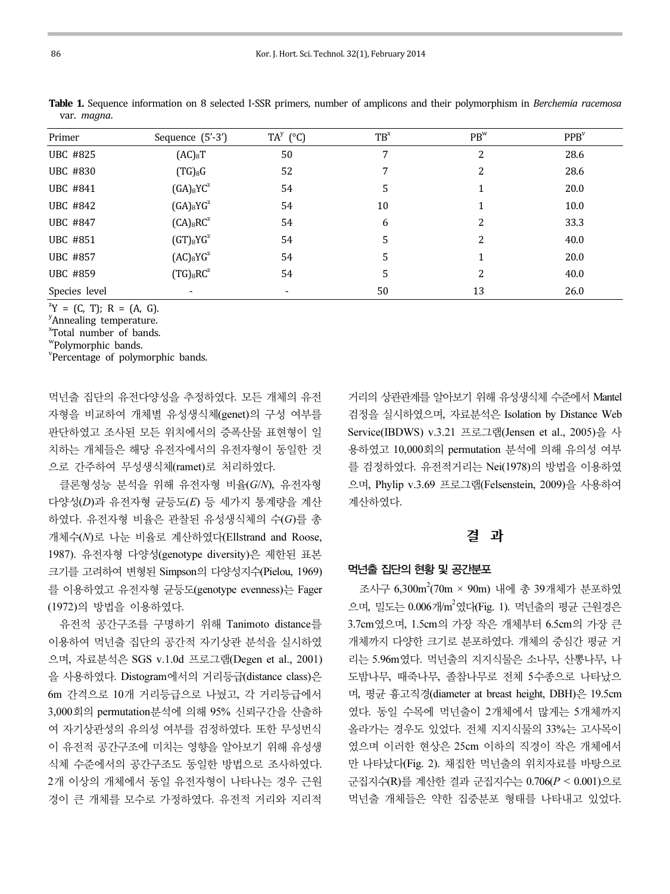| Primer          | Sequence (5'-3')    | $TA^{y}$ (°C) | $TB^{x}$ | $PB^{w}$ | PPB <sup>v</sup> |
|-----------------|---------------------|---------------|----------|----------|------------------|
| <b>UBC #825</b> | (AC) <sub>8</sub> T | 50            |          | 2        | 28.6             |
| <b>UBC #830</b> | $(TG)_8G$           | 52            |          | 2        | 28.6             |
| UBC #841        | $(GA)_{8}YC^{z}$    | 54            | 5        |          | 20.0             |
| <b>UBC #842</b> | $(GA)_{8}YG^{z}$    | 54            | 10       |          | 10.0             |
| <b>UBC #847</b> | $(CA)_{8}RC^{z}$    | 54            | 6        | 2        | 33.3             |
| <b>UBC #851</b> | $(GT)_{8}YG^{z}$    | 54            | 5        | 2        | 40.0             |
| <b>UBC #857</b> | $(AC)_{8}YG^{z}$    | 54            | 5        |          | 20.0             |
| <b>UBC #859</b> | $(TG)_{8}RC^{z}$    | 54            | 5        | 2        | 40.0             |
| Species level   |                     |               | 50       | 13       | 26.0             |

Table 1. Sequence information on 8 selected I-SSR primers, number of amplicons and their polymorphism in Berchemia racemosa var. magna.

 $Y^zY = (C, T); R = (A, G).$ 

y<br>Annealing temperature.

x Total number of bands.

w Polymorphic bands.

<sup>v</sup>Percentage of polymorphic bands.

먹넌출 집단의 유전다양성을 추정하였다. 모든 개체의 유전 자형을 비교하여 개체별 유성생식체(genet)의 구성 여부를 판단하였고 조사된 모든 위치에서의 증폭산물 표현형이 일 치하는 개체들은 해당 유전자에서의 유전자형이 동일한 것 으로 간주하여 무성생식체(ramet)로 처리하였다.

클론형성능 분석을 위해 유전자형 비율(G/N), 유전자형 다양성(D)과 유전자형 균등도(E) 등 세가지 통계량을 계산 하였다. 유전자형 비율은 관찰된 유성생식체의 수(G)를 총 개체수(N)로 나눈 비율로 계산하였다(Ellstrand and Roose, 1987). 유전자형 다양성(genotype diversity)은 제한된 표본 크기를 고려하여 변형된 Simpson의 다양성지수(Pielou, 1969) 를 이용하였고 유전자형 균등도(genotype evenness)는 Fager (1972)의 방법을 이용하였다.

유전적 공간구조를 구명하기 위해 Tanimoto distance를 이용하여 먹넌출 집단의 공간적 자기상관 분석을 실시하였 으며, 자료분석은 SGS v.1.0d 프로그램(Degen et al., 2001) 을 사용하였다. Distogram에서의 거리등급(distance class)은 6m 간격으로 10개 거리등급으로 나눴고, 각 거리등급에서 3,000회의 permutation분석에 의해 95% 신뢰구간을 산출하 여 자기상관성의 유의성 여부를 검정하였다. 또한 무성번식 이 유전적 공간구조에 미치는 영향을 알아보기 위해 유성생 식체 수준에서의 공간구조도 동일한 방법으로 조사하였다. 2개 이상의 개체에서 동일 유전자형이 나타나는 경우 근원 경이 큰 개체를 모수로 가정하였다. 유전적 거리와 지리적

거리의 상관관계를 알아보기 위해 유성생식체 수준에서 Mantel 검정을 실시하였으며, 자료분석은 Isolation by Distance Web Service(IBDWS) v.3.21 프로그램(Jensen et al., 2005)을 사 용하였고 10,000회의 permutation 분석에 의해 유의성 여부 를 검정하였다. 유전적거리는 Nei(1978)의 방법을 이용하였 으며, Phylip v.3.69 프로그램(Felsenstein, 2009)을 사용하여 계산하였다.

## 결 과

#### 먹넌출 집단의 현황 및 공간분포

조사구 6,300m<sup>2</sup>(70m × 90m) 내에 총 39개체가 분포하였 으며, 밀도는 0.006개/m<sup>2</sup>였다(Fig. 1). 먹넌출의 평균 근원경은 3.7cm였으며, 1.5cm의 가장 작은 개체부터 6.5cm의 가장 큰 개체까지 다양한 크기로 분포하였다. 개체의 중심간 평균 거 리는 5.96m였다. 먹넌출의 지지식물은 소나무, 산뽕나무, 나 도밤나무, 때죽나무, 졸참나무로 전체 5수종으로 나타났으 며, 평균 흉고직경(diameter at breast height, DBH)은 19.5cm 였다. 동일 수목에 먹넌출이 2개체에서 많게는 5개체까지 올라가는 경우도 있었다. 전체 지지식물의 33%는 고사목이 였으며 이러한 현상은 25cm 이하의 직경이 작은 개체에서 만 나타났다(Fig. 2). 채집한 먹넌출의 위치자료를 바탕으로 군집지수(R)를 계산한 결과 군집지수는 0.706(P < 0.001)으로 먹넌출 개체들은 약한 집중분포 형태를 나타내고 있었다.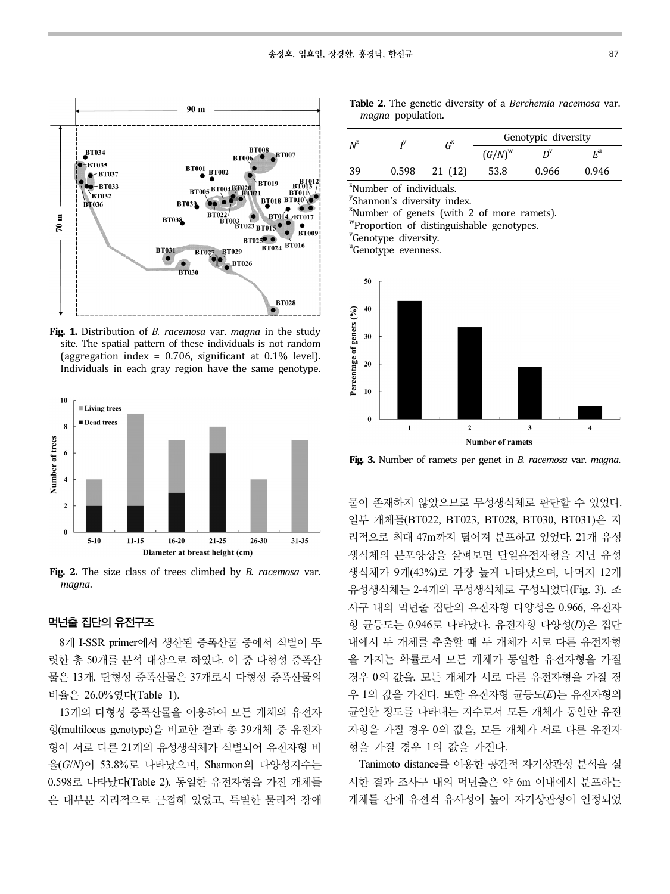

Fig. 1. Distribution of *B. racemosa var. magna* in the study site. The spatial pattern of these individuals is not random (aggregation index =  $0.706$ , significant at  $0.1\%$  level). Individuals in each gray region have the same genotype.



Fig. 2. The size class of trees climbed by *B. racemosa var.* maana.

### 먹넌출 집단의 유전구조

8개 I-SSR primer에서 생산된 증폭산물 중에서 식별이 뚜 렷한 총 50개를 분석 대상으로 하였다. 이 중 다형성 증폭산 물은 13개, 단형성 증폭산물은 37개로서 다형성 증폭산물의 비율은 26.0%였다(Table 1).

13개의 다형성 증폭산물을 이용하여 모든 개체의 유전자 형(multilocus genotype)을 비교한 결과 총 39개체 중 유전자 형이 서로 다른 21개의 유성생식체가 식별되어 유전자형 비 율(G/N)이 53.8%로 나타났으며, Shannon의 다양성지수는 0.598로 나타났다(Table 2). 동일한 유전자형을 가진 개체들 은 대부분 지리적으로 근접해 있었고, 특별한 물리적 장애

|  |                   |  | Table 2. The genetic diversity of a Berchemia racemosa var. |  |
|--|-------------------|--|-------------------------------------------------------------|--|
|  | magna population. |  |                                                             |  |

| $N^{\rm z}$ |       | $\textit{G}^{\text{X}}$ | Genotypic diversity |       |                         |  |
|-------------|-------|-------------------------|---------------------|-------|-------------------------|--|
|             |       |                         | $(G/N)^w$           |       | $\mathsf{F}^\mathsf{u}$ |  |
| 39          | 0.598 | 21 (12)                 | 53.8                | 0.966 | 0.946                   |  |

<sup>z</sup>Number of individuals.

<sup>y</sup>Shannon's diversity index.

x Number of genets (with 2 of more ramets).

w Proportion of distinguishable genotypes.

<sup>v</sup>Genotype diversity.

"Genotype evenness.



Fig. 3. Number of ramets per genet in B. racemosa var. magna.

물이 존재하지 않았으므로 무성생식체로 판단할 수 있었다. 일부 개체들(BT022, BT023, BT028, BT030, BT031)은 지 리적으로 최대 47m까지 떨어져 분포하고 있었다. 21개 유성 생식체의 분포양상을 살펴보면 단일유전자형을 지닌 유성 생식체가 9개(43%)로 가장 높게 나타났으며, 나머지 12개 유성생식체는 2-4개의 무성생식체로 구성되었다(Fig. 3). 조 사구 내의 먹넌출 집단의 유전자형 다양성은 0.966, 유전자 형 균등도는 0.946로 나타났다. 유전자형 다양성(D)은 집단 내에서 두 개체를 추출할 때 두 개체가 서로 다른 유전자형 을 가지는 확률로서 모든 개체가 동일한 유전자형을 가질 경우 0의 값을, 모든 개체가 서로 다른 유전자형을 가질 경 우 1의 값을 가진다. 또한 유전자형 균등도(E)는 유전자형의 균일한 정도를 나타내는 지수로서 모든 개체가 동일한 유전 자형을 가질 경우 0의 값을, 모든 개체가 서로 다른 유전자 형을 가질 경우 1의 값을 가진다.

Tanimoto distance를 이용한 공간적 자기상관성 분석을 실 시한 결과 조사구 내의 먹넌출은 약 6m 이내에서 분포하는 개체들 간에 유전적 유사성이 높아 자기상관성이 인정되었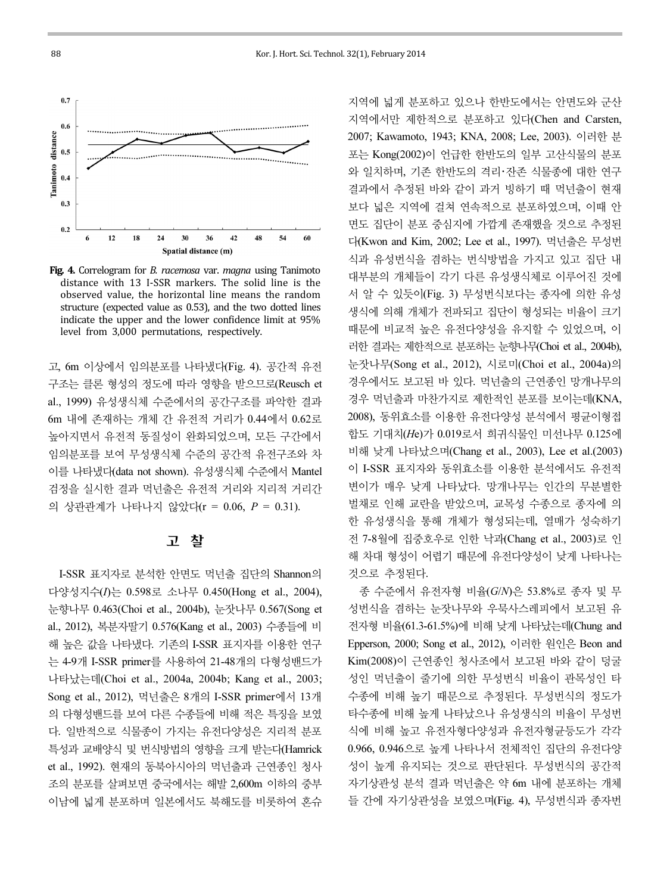

Fig. 4. Correlogram for B. racemosa var. magna using Tanimoto distance with 13 I-SSR markers. The solid line is the observed value, the horizontal line means the random structure (expected value as 0.53), and the two dotted lines indicate the upper and the lower confidence limit at 95% level from 3,000 permutations, respectively.

고, 6m 이상에서 임의분포를 나타냈다(Fig. 4). 공간적 유전 구조는 클론 형성의 정도에 따라 영향을 받으므로(Reusch et al., 1999) 유성생식체 수준에서의 공간구조를 파악한 결과 6m 내에 존재하는 개체 간 유전적 거리가 0.44에서 0.62로 높아지면서 유전적 동질성이 완화되었으며, 모든 구간에서 임의분포를 보여 무성생식체 수준의 공간적 유전구조와 차 이를 나타냈다(data not shown). 유성생식체 수준에서 Mantel 검정을 실시한 결과 먹넌출은 유전적 거리와 지리적 거리간 의 상관관계가 나타나지 않았다(r = 0.06, P = 0.31).

# 고 찰

I-SSR 표지자로 분석한 안면도 먹넌출 집단의 Shannon의 다양성지수(I)는 0.598로 소나무 0.450(Hong et al., 2004), 눈향나무 0.463(Choi et al., 2004b), 눈잣나무 0.567(Song et al., 2012), 복분자딸기 0.576(Kang et al., 2003) 수종들에 비 해 높은 값을 나타냈다. 기존의 I-SSR 표지자를 이용한 연구 는 4-9개 I-SSR primer를 사용하여 21-48개의 다형성밴드가 나타났는데(Choi et al., 2004a, 2004b; Kang et al., 2003; Song et al., 2012), 먹넌출은 8개의 I-SSR primer에서 13개 의 다형성밴드를 보여 다른 수종들에 비해 적은 특징을 보였 다. 일반적으로 식물종이 가지는 유전다양성은 지리적 분포 특성과 교배양식 및 번식방법의 영향을 크게 받는다(Hamrick et al., 1992). 현재의 동북아시아의 먹넌출과 근연종인 청사 조의 분포를 살펴보면 중국에서는 해발 2,600m 이하의 중부 이남에 넓게 분포하며 일본에서도 북해도를 비롯하여 혼슈

지역에 넓게 분포하고 있으나 한반도에서는 안면도와 군산 지역에서만 제한적으로 분포하고 있다(Chen and Carsten, 2007; Kawamoto, 1943; KNA, 2008; Lee, 2003). 이러한 분 포는 Kong(2002)이 언급한 한반도의 일부 고산식물의 분포 와 일치하며, 기존 한반도의 격리・잔존 식물종에 대한 연구 결과에서 추정된 바와 같이 과거 빙하기 때 먹넌출이 현재 보다 넓은 지역에 걸쳐 연속적으로 분포하였으며, 이때 안 면도 집단이 분포 중심지에 가깝게 존재했을 것으로 추정된 다(Kwon and Kim, 2002; Lee et al., 1997). 먹넌출은 무성번 식과 유성번식을 겸하는 번식방법을 가지고 있고 집단 내 대부분의 개체들이 각기 다른 유성생식체로 이루어진 것에 서 알 수 있듯이(Fig. 3) 무성번식보다는 종자에 의한 유성 생식에 의해 개체가 전파되고 집단이 형성되는 비율이 크기 때문에 비교적 높은 유전다양성을 유지할 수 있었으며, 이 러한 결과는 제한적으로 분포하는 눈향나무(Choi et al., 2004b), 눈잣나무(Song et al., 2012), 시로미(Choi et al., 2004a)의 경우에서도 보고된 바 있다. 먹넌출의 근연종인 망개나무의 경우 먹넌출과 마찬가지로 제한적인 분포를 보이는데(KNA, 2008), 동위효소를 이용한 유전다양성 분석에서 평균이형접 합도 기대치(He)가 0.019로서 희귀식물인 미선나무 0.125에 비해 낮게 나타났으며(Chang et al., 2003), Lee et al.(2003) 이 I-SSR 표지자와 동위효소를 이용한 분석에서도 유전적 변이가 매우 낮게 나타났다. 망개나무는 인간의 무분별한 벌채로 인해 교란을 받았으며, 교목성 수종으로 종자에 의 한 유성생식을 통해 개체가 형성되는데, 열매가 성숙하기 전 7-8월에 집중호우로 인한 낙과(Chang et al., 2003)로 인 해 차대 형성이 어렵기 때문에 유전다양성이 낮게 나타나는 것으로 추정된다.

종 수준에서 유전자형 비율(G/N)은 53.8%로 종자 및 무 성번식을 겸하는 눈잣나무와 우묵사스레피에서 보고된 유 전자형 비율(61.3-61.5%)에 비해 낮게 나타났는데(Chung and Epperson, 2000; Song et al., 2012), 이러한 원인은 Beon and Kim(2008)이 근연종인 청사조에서 보고된 바와 같이 덩굴 성인 먹넌출이 줄기에 의한 무성번식 비율이 관목성인 타 수종에 비해 높기 때문으로 추정된다. 무성번식의 정도가 타수종에 비해 높게 나타났으나 유성생식의 비율이 무성번 식에 비해 높고 유전자형다양성과 유전자형균등도가 각각 0.966, 0.946으로 높게 나타나서 전체적인 집단의 유전다양 성이 높게 유지되는 것으로 판단된다. 무성번식의 공간적 자기상관성 분석 결과 먹넌출은 약 6m 내에 분포하는 개체 들 간에 자기상관성을 보였으며(Fig. 4), 무성번식과 종자번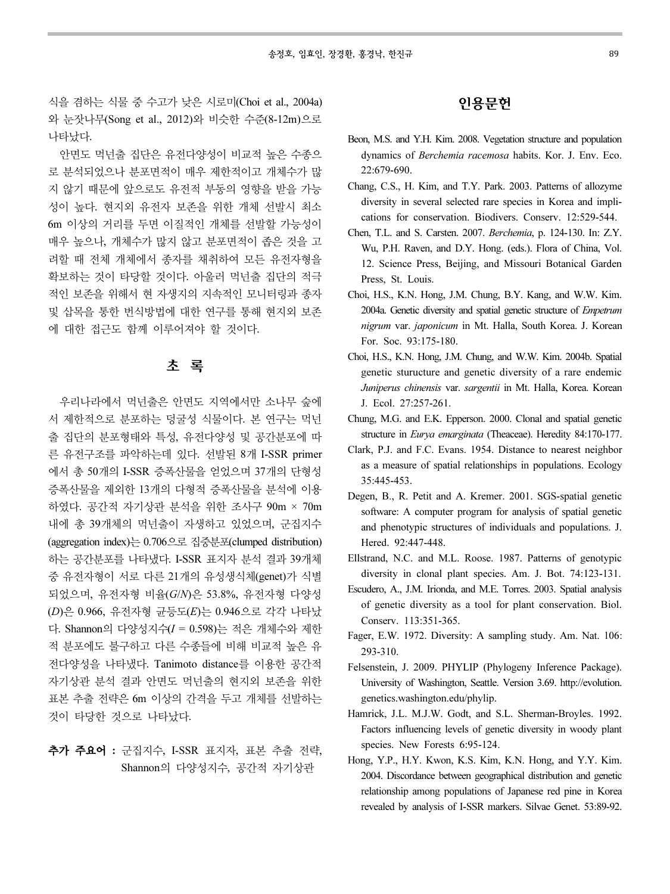식을 겸하는 식물 중 수고가 낮은 시로미(Choi et al., 2004a) 와 눈잣나무(Song et al., 2012)와 비슷한 수준(8-12m)으로 나타났다.

안면도 먹넌출 집단은 유전다양성이 비교적 높은 수종으 로 분석되었으나 분포면적이 매우 제한적이고 개체수가 많 지 않기 때문에 앞으로도 유전적 부동의 영향을 받을 가능 성이 높다. 현지외 유전자 보존을 위한 개체 선발시 최소 6m 이상의 거리를 두면 이질적인 개체를 선발할 가능성이 매우 높으나, 개체수가 많지 않고 분포면적이 좁은 것을 고 려할 때 전체 개체에서 종자를 채취하여 모든 유전자형을 확보하는 것이 타당할 것이다. 아울러 먹넌출 집단의 적극 적인 보존을 위해서 현 자생지의 지속적인 모니터링과 종자 및 삽목을 통한 번식방법에 대한 연구를 통해 현지외 보존 에 대한 접근도 함께 이루어져야 할 것이다.

## 초 록

우리나라에서 먹넌출은 안면도 지역에서만 소나무 숲에 서 제한적으로 분포하는 덩굴성 식물이다. 본 연구는 먹넌 출 집단의 분포형태와 특성, 유전다양성 및 공간분포에 따 른 유전구조를 파악하는데 있다. 선발된 8개 I-SSR primer 에서 총 50개의 I-SSR 증폭산물을 얻었으며 37개의 단형성 증폭산물을 제외한 13개의 다형적 증폭산물을 분석에 이용 하였다. 공간적 자기상관 분석을 위한 조사구 90m × 70m 내에 총 39개체의 먹넌출이 자생하고 있었으며, 군집지수 (aggregation index)는 0.706으로 집중분포(clumped distribution) 하는 공간분포를 나타냈다. I-SSR 표지자 분석 결과 39개체 중 유전자형이 서로 다른 21개의 유성생식체(genet)가 식별 되었으며, 유전자형 비율(G/N)은 53.8%, 유전자형 다양성 (D)은 0.966, 유전자형 균등도(E)는 0.946으로 각각 나타났 다. Shannon의 다양성지수(I = 0.598)는 적은 개체수와 제한 적 분포에도 불구하고 다른 수종들에 비해 비교적 높은 유 전다양성을 나타냈다. Tanimoto distance를 이용한 공간적 자기상관 분석 결과 안면도 먹넌출의 현지외 보존을 위한 표본 추출 전략은 6m 이상의 간격을 두고 개체를 선발하는 것이 타당한 것으로 나타났다.

# 추가 주요어 : 군집지수, I-SSR 표지자, 표본 추출 전략, Shannon의 다양성지수, 공간적 자기상관

# 인용문헌

- Beon, M.S. and Y.H. Kim. 2008. Vegetation structure and population dynamics of Berchemia racemosa habits. Kor. J. Env. Eco. 22:679-690.
- Chang, C.S., H. Kim, and T.Y. Park. 2003. Patterns of allozyme diversity in several selected rare species in Korea and implications for conservation. Biodivers. Conserv. 12:529-544.
- Chen, T.L. and S. Carsten. 2007. Berchemia, p. 124-130. In: Z.Y. Wu, P.H. Raven, and D.Y. Hong. (eds.). Flora of China, Vol. 12. Science Press, Beijing, and Missouri Botanical Garden Press, St. Louis.
- Choi, H.S., K.N. Hong, J.M. Chung, B.Y. Kang, and W.W. Kim. 2004a. Genetic diversity and spatial genetic structure of Empetrum nigrum var. japonicum in Mt. Halla, South Korea. J. Korean For. Soc. 93:175-180.
- Choi, H.S., K.N. Hong, J.M. Chung, and W.W. Kim. 2004b. Spatial genetic sturucture and genetic diversity of a rare endemic Juniperus chinensis var. sargentii in Mt. Halla, Korea. Korean J. Ecol. 27:257-261.
- Chung, M.G. and E.K. Epperson. 2000. Clonal and spatial genetic structure in *Eurya emarginata* (Theaceae). Heredity 84:170-177.
- Clark, P.J. and F.C. Evans. 1954. Distance to nearest neighbor as a measure of spatial relationships in populations. Ecology 35:445-453.
- Degen, B., R. Petit and A. Kremer. 2001. SGS-spatial genetic software: A computer program for analysis of spatial genetic and phenotypic structures of individuals and populations. J. Hered. 92:447-448.
- Ellstrand, N.C. and M.L. Roose. 1987. Patterns of genotypic diversity in clonal plant species. Am. J. Bot. 74:123-131.
- Escudero, A., J.M. Irionda, and M.E. Torres. 2003. Spatial analysis of genetic diversity as a tool for plant conservation. Biol. Conserv. 113:351-365.
- Fager, E.W. 1972. Diversity: A sampling study. Am. Nat. 106: 293-310.
- Felsenstein, J. 2009. PHYLIP (Phylogeny Inference Package). University of Washington, Seattle. Version 3.69. http://evolution. genetics.washington.edu/phylip.
- Hamrick, J.L. M.J.W. Godt, and S.L. Sherman-Broyles. 1992. Factors influencing levels of genetic diversity in woody plant species. New Forests 6:95-124.
- Hong, Y.P., H.Y. Kwon, K.S. Kim, K.N. Hong, and Y.Y. Kim. 2004. Discordance between geographical distribution and genetic relationship among populations of Japanese red pine in Korea revealed by analysis of I-SSR markers. Silvae Genet. 53:89-92.